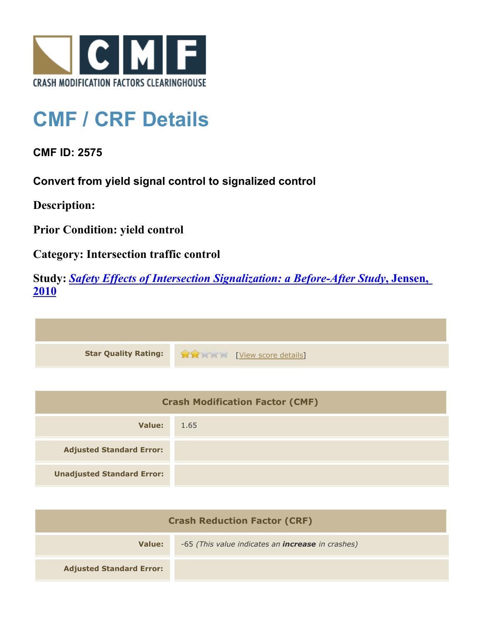

## **CMF / CRF Details**

**CMF ID: 2575**

**Convert from yield signal control to signalized control**

**Description:** 

**Prior Condition: yield control**

**Category: Intersection traffic control**

**Study:** *[Safety Effects of Intersection Signalization: a Before-After Study](http://www.cmfclearinghouse.org/study_detail.cfm?stid=170)***[, Jensen,](http://www.cmfclearinghouse.org/study_detail.cfm?stid=170) [2010](http://www.cmfclearinghouse.org/study_detail.cfm?stid=170)**



| <b>Crash Modification Factor (CMF)</b> |      |
|----------------------------------------|------|
| Value:                                 | 1.65 |
| <b>Adjusted Standard Error:</b>        |      |
| <b>Unadjusted Standard Error:</b>      |      |

| <b>Crash Reduction Factor (CRF)</b> |                                                          |
|-------------------------------------|----------------------------------------------------------|
| Value:                              | -65 (This value indicates an <b>increase</b> in crashes) |
| <b>Adjusted Standard Error:</b>     |                                                          |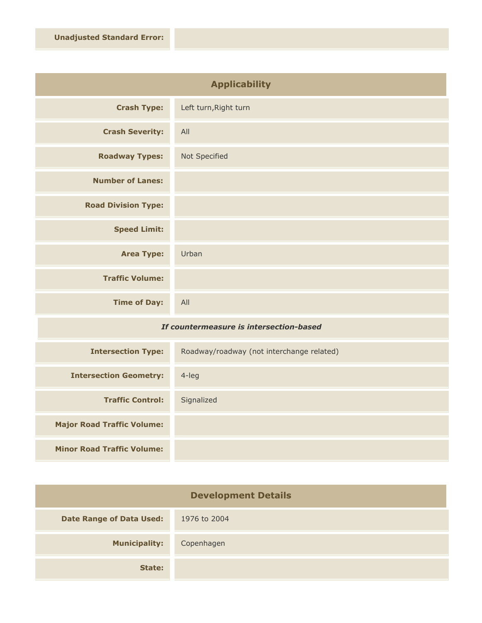| <b>Applicability</b>       |                       |
|----------------------------|-----------------------|
| <b>Crash Type:</b>         | Left turn, Right turn |
| <b>Crash Severity:</b>     | All                   |
| <b>Roadway Types:</b>      | Not Specified         |
| <b>Number of Lanes:</b>    |                       |
| <b>Road Division Type:</b> |                       |
| <b>Speed Limit:</b>        |                       |
| <b>Area Type:</b>          | Urban                 |
| <b>Traffic Volume:</b>     |                       |
| <b>Time of Day:</b>        | All                   |

## *If countermeasure is intersection-based*

| <b>Intersection Type:</b>         | Roadway/roadway (not interchange related) |
|-----------------------------------|-------------------------------------------|
| <b>Intersection Geometry:</b>     | $4$ -leg                                  |
| <b>Traffic Control:</b>           | Signalized                                |
| <b>Major Road Traffic Volume:</b> |                                           |
| <b>Minor Road Traffic Volume:</b> |                                           |

| <b>Development Details</b>      |              |
|---------------------------------|--------------|
| <b>Date Range of Data Used:</b> | 1976 to 2004 |
| <b>Municipality:</b>            | Copenhagen   |
| State:                          |              |